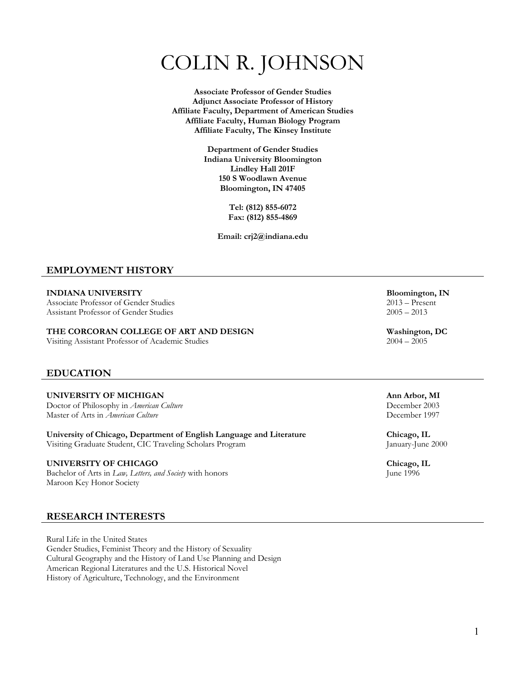# COLIN R. JOHNSON

**Associate Professor of Gender Studies Adjunct Associate Professor of History Affiliate Faculty, Department of American Studies Affiliate Faculty, Human Biology Program Affiliate Faculty, The Kinsey Institute**

> **Department of Gender Studies Indiana University Bloomington Lindley Hall 201F 150 S Woodlawn Avenue Bloomington, IN 47405**

> > **Tel: (812) 855-6072 Fax: (812) 855-4869**

**Email: crj2@indiana.edu**

#### **EMPLOYMENT HISTORY**

Associate Professor of Gender Studies 2013 – Presential Associate Professor of Gender Studies 2005 – 2013 Assistant Professor of Gender Studies

## **THE CORCORAN COLLEGE OF ART AND DESIGN Washington, DC**<br>Visiting Assistant Professor of Academic Studies 2004 – 2005

Visiting Assistant Professor of Academic Studies

#### **EDUCATION**

**UNIVERSITY OF MICHIGAN Ann Arbor, MI** Doctor of Philosophy in *American Culture* December 2003<br>
Master of Arts in *American Culture* December 1997 Master of Arts in *American Culture* 

**University of Chicago, Department of English Language and Literature Chicago, IL** Visiting Graduate Student, CIC Traveling Scholars Program January-June 2000

#### **UNIVERSITY OF CHICAGO Chicago, IL**

Bachelor of Arts in *Law*, *Letters, and Society* with honors June 1996 Maroon Key Honor Society

#### **RESEARCH INTERESTS**

Rural Life in the United States Gender Studies, Feminist Theory and the History of Sexuality Cultural Geography and the History of Land Use Planning and Design American Regional Literatures and the U.S. Historical Novel History of Agriculture, Technology, and the Environment

**INDIANA UNIVERSITY Bloomington, IN**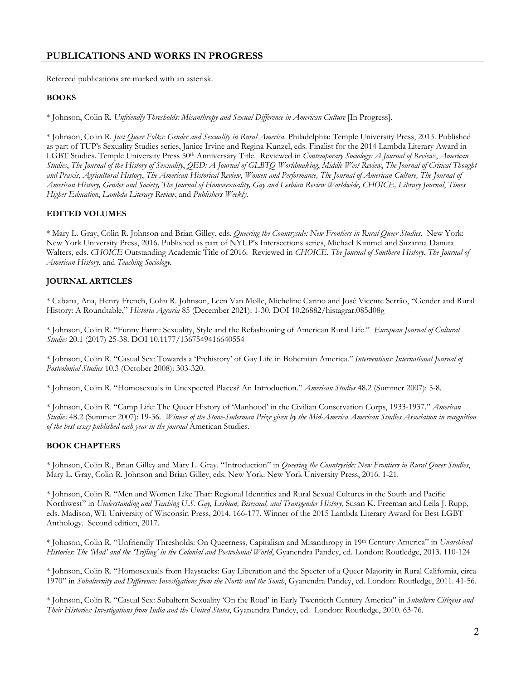#### **PUBLICATIONS AND WORKS IN PROGRESS**

Refereed publications are marked with an asterisk.

#### **BOOKS**

\* Johnson, Colin R. *Unfriendly Thresholds: Misanthropy and Sexual Difference in American Culture* [In Progress].

\* Johnson, Colin R. *Just Queer Folks: Gender and Sexuality in Rural America*. Philadelphia: Temple University Press, 2013. Published as part of TUP's Sexuality Studies series, Janice Irvine and Regina Kunzel, eds. Finalist for the 2014 Lambda Literary Award in LGBT Studies. Temple University Press 50th Anniversary Title. Reviewed in *Contemporary Sociology: A Journal of Reviews*, *American Studies*, *The Journal of the History of Sexuality*, *QED: A Journal of GLBTQ Worldmaking*, *Middle West Review*, *The Journal of Critical Thought and Praxis*, *Agricultural History*, *The American Historical Review*, *Women and Performance, The Journal of American Culture, The Journal of American History, Gender and Society, The Journal of Homosexuality, Gay and Lesbian Review Worldwide, CHOICE, Library Journal*, *Times Higher Education*, *Lambda Literary Review*, and *Publishers Weekly*.

#### **EDITED VOLUMES**

\* Mary L. Gray, Colin R. Johnson and Brian Gilley, eds. *Queering the Countryside: New Frontiers in Rural Queer Studies*. New York: New York University Press, 2016. Published as part of NYUP's Intersections series, Michael Kimmel and Suzanna Danuta Walters, eds. *CHOICE* Outstanding Academic Title of 2016. Reviewed in *CHOICE*, *The Journal of Southern History*, *The Journal of American History*, and *Teaching Sociology*.

#### **JOURNAL ARTICLES**

\* Cabana, Ana, Henry French, Colin R. Johnson, Leen Van Molle, Micheline Carino and José Vicente Serrão, "Gender and Rural History: A Roundtable," *Historia Agraria* 85 (December 2021): 1-30. DOI 10.26882/histagrar.085d08g

\* Johnson, Colin R. "Funny Farm: Sexuality, Style and the Refashioning of American Rural Life." *European Journal of Cultural Studies* 20.1 (2017) 25-38. DOI 10.1177/1367549416640554

\* Johnson, Colin R. "Casual Sex: Towards a 'Prehistory' of Gay Life in Bohemian America." *Interventions: International Journal of Postcolonial Studies* 10.3 (October 2008): 303-320.

\* Johnson, Colin R. "Homosexuals in Unexpected Places? An Introduction." *American Studies* 48.2 (Summer 2007): 5-8.

\* Johnson, Colin R. "Camp Life: The Queer History of 'Manhood' in the Civilian Conservation Corps, 1933-1937." *American Studies* 48.2 (Summer 2007): 19-36. *Winner of the Stone-Suderman Prize given by the Mid-America American Studies Association in recognition of the best essay published each year in the journal* American Studies*.*

#### **BOOK CHAPTERS**

\* Johnson, Colin R., Brian Gilley and Mary L. Gray. "Introduction" in *Queering the Countryside: New Frontiers in Rural Queer Studies*, Mary L. Gray, Colin R. Johnson and Brian Gilley, eds. New York: New York University Press, 2016. 1-21.

\* Johnson, Colin R. "Men and Women Like That: Regional Identities and Rural Sexual Cultures in the South and Pacific Northwest" in *Understanding and Teaching U.S. Gay, Lesbian, Bisexual, and Transgender History*, Susan K. Freeman and Leila J. Rupp, eds. Madison, WI: University of Wisconsin Press, 2014. 166-177. Winner of the 2015 Lambda Literary Award for Best LGBT Anthology. Second edition, 2017.

\* Johnson, Colin R. "Unfriendly Thresholds: On Queerness, Capitalism and Misanthropy in 19th Century America" in *Unarchived Histories: The 'Mad' and the 'Trifling' in the Colonial and Postcolonial World*, Gyanendra Pandey, ed. London: Routledge, 2013. 110-124

\* Johnson, Colin R. "Homosexuals from Haystacks: Gay Liberation and the Specter of a Queer Majority in Rural California, circa 1970" in *Subalternity and Difference: Investigations from the North and the South*, Gyanendra Pandey, ed. London: Routledge, 2011. 41-56.

\* Johnson, Colin R. "Casual Sex: Subaltern Sexuality 'On the Road' in Early Twentieth Century America" in *Subaltern Citizens and Their Histories: Investigations from India and the United States*, Gyanendra Pandey, ed. London: Routledge, 2010. 63-76.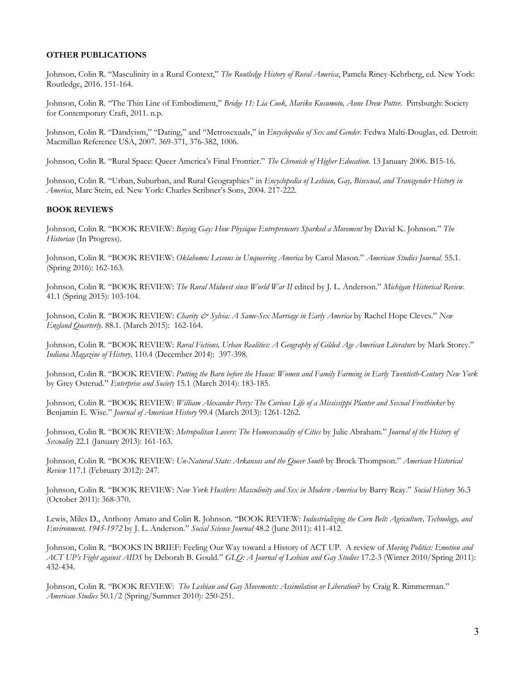#### **OTHER PUBLICATIONS**

Johnson, Colin R. "Masculinity in a Rural Context," *The Routledge History of Rural America*, Pamela Riney-Kehrberg, ed. New York: Routledge, 2016. 151-164.

Johnson, Colin R. "The Thin Line of Embodiment," *Bridge 11: Lia Cook, Mariko Kusumoto, Anne Drew Potter*. Pittsburgh: Society for Contemporary Craft, 2011. n.p.

Johnson, Colin R. "Dandyism," "Dating," and "Metrosexuals," in *Encyclopedia of Sex and Gender.* Fedwa Malti-Douglas, ed. Detroit: Macmillan Reference USA, 2007. 369-371, 376-382, 1006.

Johnson, Colin R. "Rural Space: Queer America's Final Frontier." *The Chronicle of Higher Education*. 13 January 2006. B15-16.

Johnson, Colin R. "Urban, Suburban, and Rural Geographies" in *Encyclopedia of Lesbian, Gay, Bisexual, and Transgender History in America*, Marc Stein, ed. New York: Charles Scribner's Sons, 2004. 217-222.

#### **BOOK REVIEWS**

Johnson, Colin R. "BOOK REVIEW: *Buying Gay: How Physique Entrepreneurs Sparked a Movement* by David K. Johnson." *The Historian* (In Progress).

Johnson, Colin R. "BOOK REVIEW: *Oklahomo: Lessons in Unqueering America* by Carol Mason." *American Studies Journal*. 55.1. (Spring 2016): 162-163.

Johnson, Colin R. "BOOK REVIEW: *The Rural Midwest since World War II* edited by J. L. Anderson." *Michigan Historical Review*. 41.1 (Spring 2015): 103-104.

Johnson, Colin R. "BOOK REVIEW: *Charity & Sylvia: A Same-Sex Marriage in Early America* by Rachel Hope Cleves." *New England Quarterly*. 88.1. (March 2015): 162-164.

Johnson, Colin R. "BOOK REVIEW: Rural Fictions, Urban Realities: A Geography of Gilded Age American Literature by Mark Storey." *Indiana Magazine of History*. 110.4 (December 2014): 397-398.

Johnson, Colin R. "BOOK REVIEW: *Putting the Barn before the House: Women and Family Farming in Early Twentieth-Century New York* by Grey Osterud." *Enterprise and Society* 15.1 (March 2014): 183-185.

Johnson, Colin R. "BOOK REVIEW: *William Alexander Percy: The Curious Life of a Mississippi Planter and Sexual Freethinker* by Benjamin E. Wise." *Journal of American History* 99.4 (March 2013): 1261-1262.

Johnson, Colin R. "BOOK REVIEW: *Metropolitan Lovers: The Homosexuality of Cities* by Julie Abraham." *Journal of the History of Sexuality* 22.1 (January 2013): 161-163.

Johnson, Colin R. "BOOK REVIEW: *Un-Natural State: Arkansas and the Queer South* by Brock Thompson." *American Historical Review* 117.1 (February 2012): 247.

Johnson, Colin R. "BOOK REVIEW: *New York Hustlers: Masculinity and Sex in Modern America* by Barry Reay." *Social History* 36.3 (October 2011): 368-370.

Lewis, Miles D., Anthony Amato and Colin R. Johnson. "BOOK REVIEW: *Industrializing the Corn Belt: Agriculture, Technology, and Environment, 1945-1972* by J. L. Anderson." *Social Science Journal* 48.2 (June 2011): 411-412.

Johnson, Colin R. "BOOKS IN BRIEF: Feeling Our Way toward a History of ACT UP. A review of *Moving Politics: Emotion and ACT UP's Fight against AIDS* by Deborah B. Gould." *GLQ: A Journal of Lesbian and Gay Studies* 17.2-3 (Winter 2010/Spring 2011): 432-434.

Johnson, Colin R. "BOOK REVIEW: *The Lesbian and Gay Movements: Assimilation or Liberation*? by Craig R. Rimmerman." *American Studies* 50.1/2 (Spring/Summer 2010): 250-251.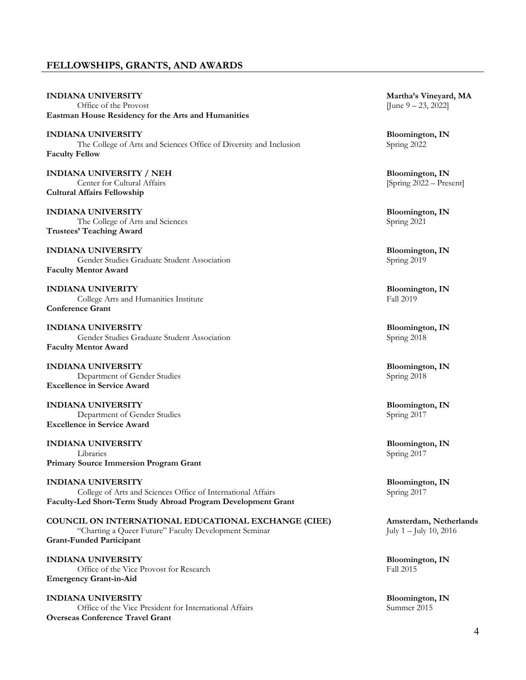#### **FELLOWSHIPS, GRANTS, AND AWARDS**

**INDIANA UNIVERSITY Martha's Vineyard, MA**<br>
Office of the Provost **IVERSITY MA**<br> **IVERSITY MA** Office of the Provost **Eastman House Residency for the Arts and Humanities INDIANA UNIVERSITY Bloomington, IN** The College of Arts and Sciences Office of Diversity and Inclusion Spring 2022 **Faculty Fellow INDIANA UNIVERSITY / NEH Bloomington, IN**<br> **Bloomington, IN**<br> **ISPENSITY / NEH Bloomington, IN**<br> **Bloomington, IN** Center for Cultural Affairs **Cultural Affairs Fellowship INDIANA UNIVERSITY** Bloomington, IN<br>The College of Arts and Sciences Spring 2021 The College of Arts and Sciences **Trustees' Teaching Award INDIANA UNIVERSITY Bloomington, IN** Gender Studies Graduate Student Association **Faculty Mentor Award INDIANA UNIVERITY Bloomington, IN**<br> **College Arts and Humanities Institute Bloomington, IN**<br> **Fall 2019** College Arts and Humanities Institute **Conference Grant INDIANA UNIVERSITY Bloomington, IN** Gender Studies Graduate Student Association Spring 2018 **Faculty Mentor Award INDIANA UNIVERSITY Bloomington, IN** Department of Gender Studies Spring 2018 **Excellence in Service Award INDIANA UNIVERSITY Bloomington, IN** Department of Gender Studies Spring 2017 **Excellence in Service Award**

**INDIANA UNIVERSITY Bloomington, IN** Libraries Spring 2017 **Primary Source Immersion Program Grant**

**INDIANA UNIVERSITY Bloomington, IN** College of Arts and Sciences Office of International Affairs Spring 2017 **Faculty-Led Short-Term Study Abroad Program Development Grant**

**COUNCIL ON INTERNATIONAL EDUCATIONAL EXCHANGE (CIEE) Amsterdam, Netherlands** "Charting a Queer Future" Faculty Development Seminar July 1 – July 10, 2016 **Grant-Funded Participant**

**INDIANA UNIVERSITY Bloomington, IN**<br>
Office of the Vice Provost for Research Fall 2015 Office of the Vice Provost for Research **Emergency Grant-in-Aid**

**INDIANA UNIVERSITY Bloomington, IN** Office of the Vice President for International Affairs Summer 2015 **Overseas Conference Travel Grant**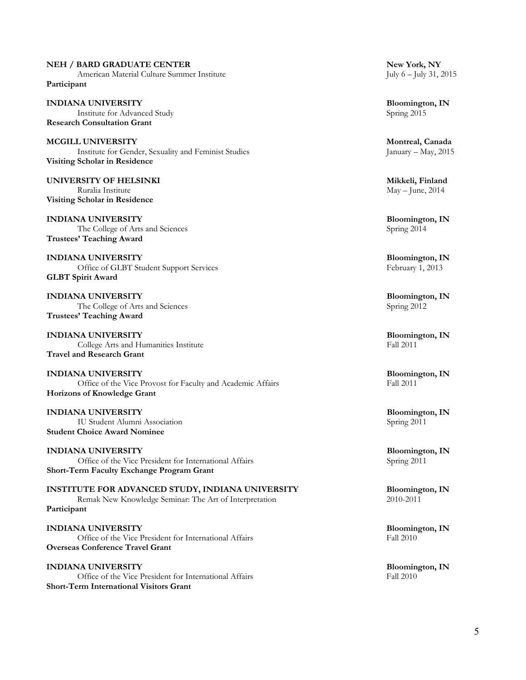#### **NEH / BARD GRADUATE CENTER New York, NY**

American Material Culture Summer Institute July 6 – July 31, 2015 **Participant**

**INDIANA UNIVERSITY Bloomington, IN**  Institute for Advanced Study Spring 2015 **Research Consultation Grant**

**MCGILL UNIVERSITY Montreal, Canada** Institute for Gender, Sexuality and Feminist Studies January – May, 2015 **Visiting Scholar in Residence**

**UNIVERSITY OF HELSINKI Mikkeli, Finland** Ruralia Institute May – June, 2014 **Visiting Scholar in Residence**

**INDIANA UNIVERSITY Bloomington, IN** The College of Arts and Sciences Spring 2014 **Trustees' Teaching Award**

**INDIANA UNIVERSITY Bloomington, IN** Office of GLBT Student Support Services February 1, 2013 **GLBT Spirit Award**

**INDIANA UNIVERSITY Bloomington, IN**<br>The College of Arts and Sciences Spring 2012 The College of Arts and Sciences **Trustees' Teaching Award**

**INDIANA UNIVERSITY Bloomington, IN**<br> **Bloomington, IN**<br> **Example 2011** College Arts and Humanities Institute **Travel and Research Grant**

**INDIANA UNIVERSITY Bloomington, IN**<br>
Office of the Vice Provost for Faculty and Academic Affairs Fall 2011 Office of the Vice Provost for Faculty and Academic Affairs **Horizons of Knowledge Grant**

**INDIANA UNIVERSITY Bloomington, IN** IU Student Alumni Association Spring 2011 **Student Choice Award Nominee**

**INDIANA UNIVERSITY Bloomington, IN** Office of the Vice President for International Affairs Spring 2011 **Short-Term Faculty Exchange Program Grant**

**INSTITUTE FOR ADVANCED STUDY, INDIANA UNIVERSITY Bloomington, IN Remak New Knowledge Seminar:** The Art of Interpretation **Bloomington** 2010-2011 Remak New Knowledge Seminar: The Art of Interpretation **Participant**

**INDIANA UNIVERSITY Bloomington, IN**<br>
Office of the Vice President for International Affairs Fall 2010 Office of the Vice President for International Affairs **Overseas Conference Travel Grant**

**INDIANA UNIVERSITY Bloomington, IN**<br>
Office of the Vice President for International Affairs Fall 2010 Office of the Vice President for International Affairs **Short-Term International Visitors Grant**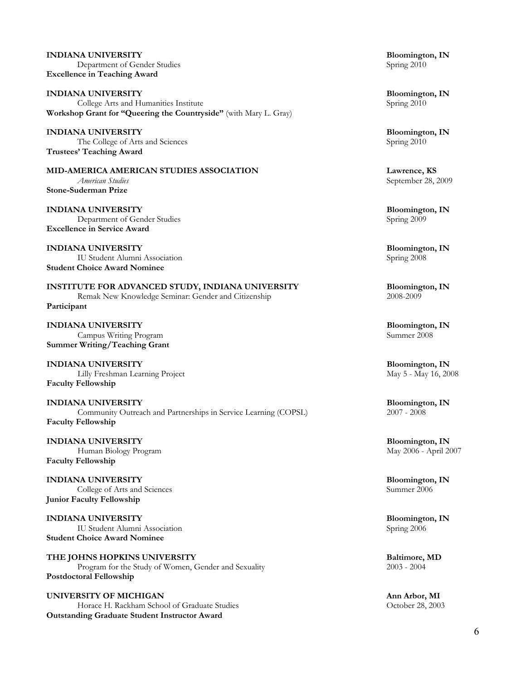**INDIANA UNIVERSITY Bloomington, IN** Department of Gender Studies **Excellence in Teaching Award**

**INDIANA UNIVERSITY Bloomington, IN**<br> **College Arts and Humanities Institute Bloomington, IN**<br> **Bloomington, IN** College Arts and Humanities Institute **Workshop Grant for "Queering the Countryside"** (with Mary L. Gray)

**INDIANA UNIVERSITY Bloomington, IN** The College of Arts and Sciences Spring 2010 **Trustees' Teaching Award**

**MID-AMERICA AMERICAN STUDIES ASSOCIATION Lawrence, KS**<br>*American Studies American Studies September 28, 2* **Stone-Suderman Prize**

**INDIANA UNIVERSITY Bloomington, IN** Department of Gender Studies Spring 2009 **Excellence in Service Award**

**INDIANA UNIVERSITY Bloomington, IN** IU Student Alumni Association Spring 2008 **Student Choice Award Nominee**

**INSTITUTE FOR ADVANCED STUDY, INDIANA UNIVERSITY** Bloomington, IN<br>Remak New Knowledge Seminar: Gender and Citizenship 2008-2009 Remak New Knowledge Seminar: Gender and Citizenship **Participant**

**INDIANA UNIVERSITY Bloomington, IN** Campus Writing Program **Summer Writing/Teaching Grant**

**INDIANA UNIVERSITY Bloomington, IN** Lilly Freshman Learning Project **May 5 - May 16, 2008 Faculty Fellowship**

**INDIANA UNIVERSITY Bloomington, IN**<br> **Bloomington, IN**<br> **Bloomington, IN**<br> **Bloomington, IN**<br> **Bloomington, IN** Community Outreach and Partnerships in Service Learning (COPSL) **Faculty Fellowship**

**INDIANA UNIVERSITY Bloomington, IN** Human Biology Program May 2006 - April 2007 **Faculty Fellowship**

**INDIANA UNIVERSITY Bloomington, IN**<br> **Bloomington, IN**<br> **College of Arts and Sciences** College of Arts and Sciences **Junior Faculty Fellowship**

**INDIANA UNIVERSITY Bloomington, IN** IU Student Alumni Association Spring 2006 **Student Choice Award Nominee**

**THE JOHNS HOPKINS UNIVERSITY**<br>Program for the Study of Women, Gender and Sexuality 2003 - 2004<br>2003 - 2004 Program for the Study of Women, Gender and Sexuality **Postdoctoral Fellowship**

**UNIVERSITY OF MICHIGAN Ann Arbor, MI** Horace H. Rackham School of Graduate Studies **Outstanding Graduate Student Instructor Award**

*American Studies* September 28, 2009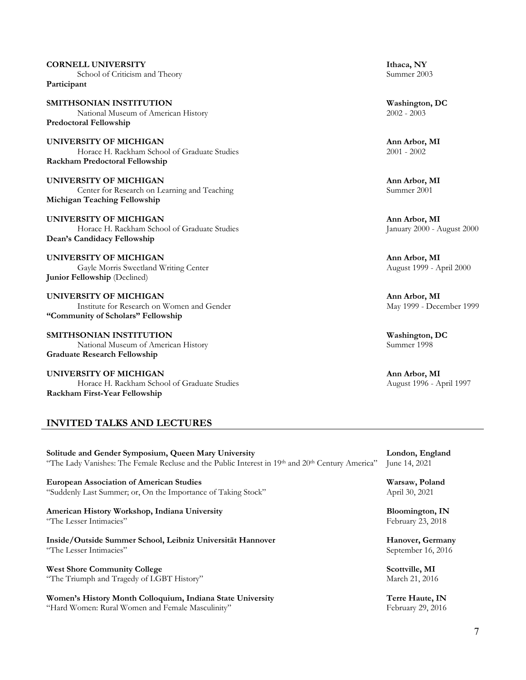#### **CORNELL UNIVERSITY Ithaca, NY** School of Criticism and Theory Summer 2003

**Participant**

**SMITHSONIAN INSTITUTION**<br>
National Museum of American History<br>
2002 - 2003 National Museum of American History **Predoctoral Fellowship**

**UNIVERSITY OF MICHIGAN**<br> **Ann Arbor, MI**<br> **Ann Arbor, MI**<br> **Ann Arbor, MI**<br> **Ann Arbor, MI**<br> **Ann Arbor, MI** Horace H. Rackham School of Graduate Studies **Rackham Predoctoral Fellowship**

**UNIVERSITY OF MICHIGAN**<br> **Ann Arbor, MI**<br> **Ann Arbor, MI**<br> **Ann Arbor, MI**<br> **Ann Arbor, MI**<br> **Ann Arbor, MI** Center for Research on Learning and Teaching **Michigan Teaching Fellowship**

**UNIVERSITY OF MICHIGAN Ann Arbor, MI** Horace H. Rackham School of Graduate Studies January 2000 - August 2000 **Dean's Candidacy Fellowship**

**UNIVERSITY OF MICHIGAN Ann Arbor, MI** Gayle Morris Sweetland Writing Center August 1999 - April 2000 **Junior Fellowship** (Declined)

**UNIVERSITY OF MICHIGAN Ann Arbor, MI**<br> **Ann Arbor, MI**<br> **Ann Arbor, MI**<br> **Ann Arbor, MI**<br>
May 1999 - December 1999 Institute for Research on Women and Gender **"Community of Scholars" Fellowship**

**SMITHSONIAN INSTITUTION**<br>
National Museum of American History<br>
Summer 1998 National Museum of American History **Graduate Research Fellowship**

**UNIVERSITY OF MICHIGAN**<br> **Ann Arbor, MI**<br> **Ann Arbor, MI**<br> **Ann Arbor, MI**<br>
August 1996 - April 1997 Horace H. Rackham School of Graduate Studies **Rackham First-Year Fellowship**

### **INVITED TALKS AND LECTURES**

**Solitude and Gender Symposium, Queen Mary University** London, England "The Lady Vanishes: The Female Recluse and the Public Interest in 19<sup>th</sup> and 20<sup>th</sup> Century America" June 14, 2021 "The Lady Vanishes: The Female Recluse and the Public Interest in 19th and 20th Century America"

**European Association of American Studies Warsaw, Poland** "Suddenly Last Summer; or, On the Importance of Taking Stock" April 30, 2021

#### **American History Workshop, Indiana University <b>Bloomington, IN**<br>
"The Lesser Intimacies" February 23, 2018 "The Lesser Intimacies"

**Inside/Outside Summer School, Leibniz Universität Hannover Hanover, Germany**<br>
"The Lesser Intimacies" September 16, 2016

**West Shore Community College Scottville, MI** "The Triumph and Tragedy of LGBT History" March 21, 2016

**Women's History Month Colloquium, Indiana State University France Control of Terre Haute, IN** "Hard Women: Rural Women and Female Masculinity" February 29, 2016

September 16, 2016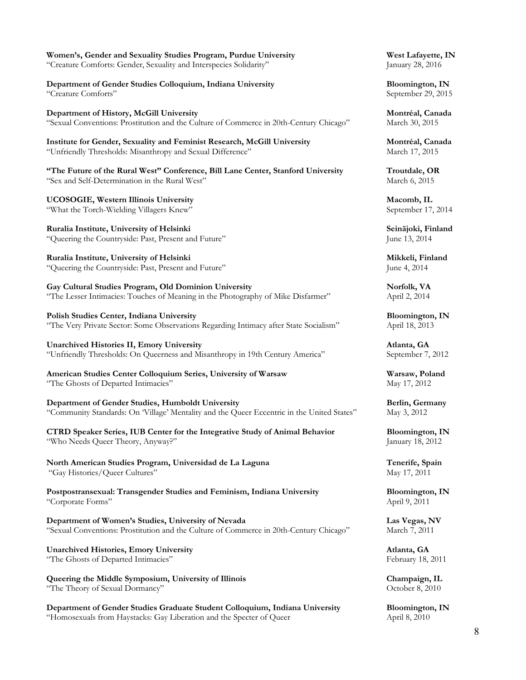| Women's, Gender and Sexuality Studies Program, Purdue University                           | West Lafayette, IN      |
|--------------------------------------------------------------------------------------------|-------------------------|
| "Creature Comforts: Gender, Sexuality and Interspecies Solidarity"                         | January 28, 2016        |
| Department of Gender Studies Colloquium, Indiana University                                | <b>Bloomington</b> , IN |
| "Creature Comforts"                                                                        | September 29, 2015      |
| Department of History, McGill University                                                   | Montréal, Canada        |
| "Sexual Conventions: Prostitution and the Culture of Commerce in 20th-Century Chicago"     | March 30, 2015          |
| Institute for Gender, Sexuality and Feminist Research, McGill University                   | Montréal, Canada        |
| "Unfriendly Thresholds: Misanthropy and Sexual Difference"                                 | March 17, 2015          |
| "The Future of the Rural West" Conference, Bill Lane Center, Stanford University           | Troutdale, OR           |
| "Sex and Self-Determination in the Rural West"                                             | March 6, 2015           |
| UCOSOGIE, Western Illinois University                                                      | Macomb, IL              |
| "What the Torch-Wielding Villagers Knew"                                                   | September 17, 2014      |
| Ruralia Institute, University of Helsinki                                                  | Seinäjoki, Finland      |
| "Queering the Countryside: Past, Present and Future"                                       | June 13, 2014           |
| Ruralia Institute, University of Helsinki                                                  | Mikkeli, Finland        |
| "Queering the Countryside: Past, Present and Future"                                       | June 4, 2014            |
| Gay Cultural Studies Program, Old Dominion University                                      | Norfolk, VA             |
| "The Lesser Intimacies: Touches of Meaning in the Photography of Mike Disfarmer"           | April 2, 2014           |
| Polish Studies Center, Indiana University                                                  | Bloomington, IN         |
| "The Very Private Sector: Some Observations Regarding Intimacy after State Socialism"      | April 18, 2013          |
| <b>Unarchived Histories II, Emory University</b>                                           | Atlanta, GA             |
| "Unfriendly Thresholds: On Queerness and Misanthropy in 19th Century America"              | September 7, 2012       |
| American Studies Center Colloquium Series, University of Warsaw                            | Warsaw, Poland          |
| "The Ghosts of Departed Intimacies"                                                        | May 17, 2012            |
| Department of Gender Studies, Humboldt University                                          | Berlin, Germany         |
| "Community Standards: On 'Village' Mentality and the Queer Eccentric in the United States" | May 3, 2012             |
| CTRD Speaker Series, IUB Center for the Integrative Study of Animal Behavior               | Bloomington, IN         |
| "Who Needs Queer Theory, Anyway?"                                                          | January 18, 2012        |
| North American Studies Program, Universidad de La Laguna                                   | Tenerife, Spain         |
| "Gay Histories/Queer Cultures"                                                             | May 17, 2011            |
| Postpostransexual: Transgender Studies and Feminism, Indiana University                    | Bloomington, IN         |
| "Corporate Forms"                                                                          | April 9, 2011           |
| Department of Women's Studies, University of Nevada                                        | Las Vegas, NV           |
| "Sexual Conventions: Prostitution and the Culture of Commerce in 20th-Century Chicago"     | March 7, 2011           |
| <b>Unarchived Histories, Emory University</b>                                              | Atlanta, GA             |
| "The Ghosts of Departed Intimacies"                                                        | February 18, 2011       |
| Queering the Middle Symposium, University of Illinois                                      | Champaign, IL           |
| "The Theory of Sexual Dormancy"                                                            | October 8, 2010         |
| Department of Gender Studies Graduate Student Colloquium, Indiana University               | Bloomington, IN         |
| "Homosexuals from Haystacks: Gay Liberation and the Specter of Queer                       | April 8, 2010           |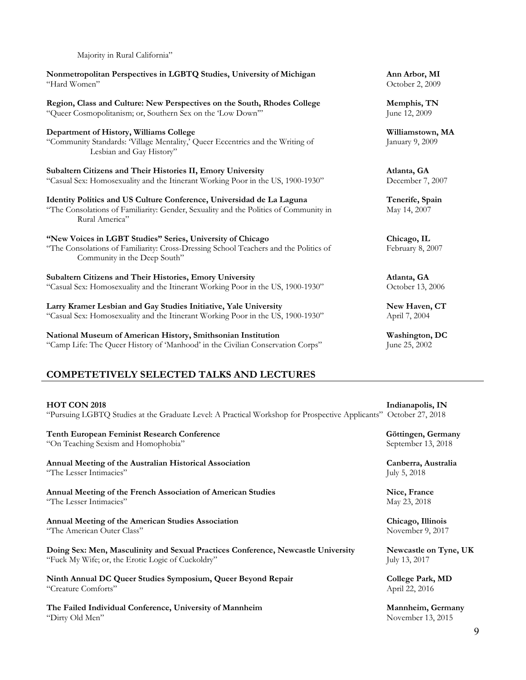| Nonmetropolitan Perspectives in LGBTQ Studies, University of Michigan<br>"Hard Women"                                                                                              | Ann Arbor, MI<br>October 2, 2009         |
|------------------------------------------------------------------------------------------------------------------------------------------------------------------------------------|------------------------------------------|
| Region, Class and Culture: New Perspectives on the South, Rhodes College<br>"Queer Cosmopolitanism; or, Southern Sex on the 'Low Down""                                            | Memphis, TN<br>June 12, 2009             |
| Department of History, Williams College<br>"Community Standards: 'Village Mentality,' Queer Eccentrics and the Writing of<br>Lesbian and Gay History"                              | Williamstown, MA<br>January 9, 2009      |
| Subaltern Citizens and Their Histories II, Emory University<br>"Casual Sex: Homosexuality and the Itinerant Working Poor in the US, 1900-1930"                                     | Atlanta, GA<br>December 7, 2007          |
| Identity Politics and US Culture Conference, Universidad de La Laguna<br>"The Consolations of Familiarity: Gender, Sexuality and the Politics of Community in<br>Rural America"    | Tenerife, Spain<br>May 14, 2007          |
| "New Voices in LGBT Studies" Series, University of Chicago<br>"The Consolations of Familiarity: Cross-Dressing School Teachers and the Politics of<br>Community in the Deep South" | Chicago, IL<br>February 8, 2007          |
| Subaltern Citizens and Their Histories, Emory University<br>"Casual Sex: Homosexuality and the Itinerant Working Poor in the US, 1900-1930"                                        | Atlanta, GA<br>October 13, 2006          |
| Larry Kramer Lesbian and Gay Studies Initiative, Yale University<br>"Casual Sex: Homosexuality and the Itinerant Working Poor in the US, 1900-1930"                                | New Haven, CT<br>April 7, 2004           |
| National Museum of American History, Smithsonian Institution<br>"Camp Life: The Queer History of 'Manhood' in the Civilian Conservation Corps"                                     | Washington, DC<br>June 25, 2002          |
| <b>COMPETETIVELY SELECTED TALKS AND LECTURES</b>                                                                                                                                   |                                          |
| <b>HOT CON 2018</b><br>"Pursuing LGBTQ Studies at the Graduate Level: A Practical Workshop for Prospective Applicants" October 27, 2018                                            | Indianapolis, IN                         |
| <b>Tenth European Feminist Research Conference</b><br>"On Teaching Sexism and Homophobia"                                                                                          | Göttingen, Germany<br>September 13, 2018 |
| Annual Meeting of the Australian Historical Association<br>"The Lesser Intimacies"                                                                                                 | Canberra, Australia<br>July 5, 2018      |
| Annual Meeting of the French Association of American Studies<br>"The Lesser Intimacies"                                                                                            | Nice, France<br>May 23, 2018             |
| Annual Meeting of the American Studies Association<br>"The American Outer Class"                                                                                                   | Chicago, Illinois<br>November 9, 2017    |
| Doing Sex: Men, Masculinity and Sexual Practices Conference, Newcastle University<br>"Fuck My Wife; or, the Erotic Logic of Cuckoldry"                                             | Newcastle on Tyne, UK<br>July 13, 2017   |
| Ninth Annual DC Queer Studies Symposium, Queer Beyond Repair<br>"Creature Comforts"                                                                                                | College Park, MD<br>April 22, 2016       |
| The Failed Individual Conference, University of Mannheim<br>"Dirty Old Men"                                                                                                        | Mannheim, Germany<br>November 13, 2015   |

Majority in Rural California"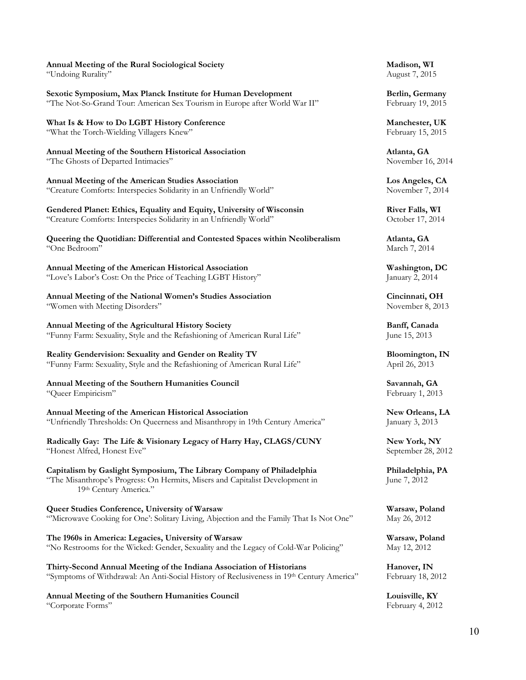#### **Annual Meeting of the Rural Sociological Society Madison, WI**

"Undoing Rurality" August 7, 2015

**Sexotic Symposium, Max Planck Institute for Human Development Berlin, Germany Berlin, Germany Property 19, 2015 Property 19, 2015** "The Not-So-Grand Tour: American Sex Tourism in Europe after World War II"

**What Is & How to Do LGBT History Conference Manchester, UK** "What the Torch-Wielding Villagers Knew" February 15, 2015

**Annual Meeting of the Southern Historical Association Atlanta, GA** "The Ghosts of Departed Intimacies" November 16, 2014

**Annual Meeting of the American Studies Association Los Angeles, CA** "Creature Comforts: Interspecies Solidarity in an Unfriendly World" November 7, 2014

**Gendered Planet: Ethics, Equality and Equity, University of Wisconsin River Falls, WI** "Creature Comforts: Interspecies Solidarity in an Unfriendly World" October 17, 2014

**Queering the Quotidian: Differential and Contested Spaces within Neoliberalism <b>Atlanta, GA**<br>
"One Bedroom" March 7, 201

**Annual Meeting of the American Historical Association Washington, DC** "Love's Labor's Cost: On the Price of Teaching LGBT History" January 2, 2014

**Annual Meeting of the National Women's Studies Association Cincinnati, OH**<br> **Cincinnati, OH**<br> **Cincinnati, OH**<br>
November 8, 2013 "Women with Meeting Disorders"

**Annual Meeting of the Agricultural History Society Banff, Canada** "Funny Farm: Sexuality, Style and the Refashioning of American Rural Life" June 15, 2013

**Reality Gendervision: Sexuality and Gender on Reality TV Bloomington, IN** "Funny Farm: Sexuality, Style and the Refashioning of American Rural Life" April 26, 2013

**Annual Meeting of the Southern Humanities Council Savannah, GA** "Queer Empiricism" February 1, 2013

**Annual Meeting of the American Historical Association New Orleans, LA** "Unfriendly Thresholds: On Queerness and Misanthropy in 19th Century America" January 3, 2013

**Radically Gay: The Life & Visionary Legacy of Harry Hay, CLAGS/CUNY New York, NY** "Honest Alfred, Honest Eve" September 28, 2012

**Capitalism by Gaslight Symposium, The Library Company of Philadelphia Philadelphia, PA** "The Misanthrope's Progress: On Hermits, Misers and Capitalist Development in June 7, 2012 19th Century America."

**Queer Studies Conference, University of Warsaw**<br>
"Microwave Cooking for One': Solitary Living, Abjection and the Family That Is Not One" May 26, 2012 "Microwave Cooking for One': Solitary Living, Abjection and the Family That Is Not One"

**The 1960s in America: Legacies, University of Warsaw**<br>
"No Restrooms for the Wicked: Gender, Sexuality and the Legacy of Cold-War Policing" May 12, 2012 "No Restrooms for the Wicked: Gender, Sexuality and the Legacy of Cold-War Policing"

**Thirty-Second Annual Meeting of the Indiana Association of Historians <b>Hanover, IN**<br>
"Symptoms of Withdrawal: An Anti-Social History of Reclusiveness in 19<sup>th</sup> Century America" February 18, 2012 "Symptoms of Withdrawal: An Anti-Social History of Reclusiveness in 19th Century America"

**Annual Meeting of the Southern Humanities Council <b>Louisville, KY**<br>
"Corporate Forms" February 4, 2012 "Corporate Forms"

March 7, 2014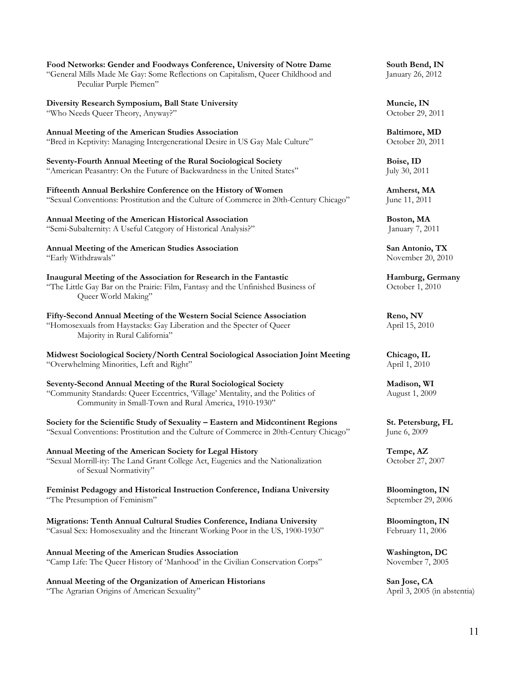| Food Networks: Gender and Foodways Conference, University of Notre Dame<br>"General Mills Made Me Gay: Some Reflections on Capitalism, Queer Childhood and<br>Peculiar Purple Piemen"                        | South Bend, IN<br>January 26, 2012  |
|--------------------------------------------------------------------------------------------------------------------------------------------------------------------------------------------------------------|-------------------------------------|
| Diversity Research Symposium, Ball State University                                                                                                                                                          | Muncie, IN                          |
| "Who Needs Queer Theory, Anyway?"                                                                                                                                                                            | October 29, 2011                    |
| Annual Meeting of the American Studies Association                                                                                                                                                           | Baltimore, MD                       |
| "Bred in Keptivity: Managing Intergenerational Desire in US Gay Male Culture"                                                                                                                                | October 20, 2011                    |
| Seventy-Fourth Annual Meeting of the Rural Sociological Society                                                                                                                                              | Boise, ID                           |
| "American Peasantry: On the Future of Backwardness in the United States"                                                                                                                                     | July 30, 2011                       |
| Fifteenth Annual Berkshire Conference on the History of Women                                                                                                                                                | Amherst, MA                         |
| "Sexual Conventions: Prostitution and the Culture of Commerce in 20th-Century Chicago"                                                                                                                       | June 11, 2011                       |
| <b>Annual Meeting of the American Historical Association</b>                                                                                                                                                 | Boston, MA                          |
| "Semi-Subalternity: A Useful Category of Historical Analysis?"                                                                                                                                               | January 7, 2011                     |
| <b>Annual Meeting of the American Studies Association</b>                                                                                                                                                    | San Antonio, TX                     |
| "Early Withdrawals"                                                                                                                                                                                          | November 20, 2010                   |
| Inaugural Meeting of the Association for Research in the Fantastic<br>"The Little Gay Bar on the Prairie: Film, Fantasy and the Unfinished Business of<br>Queer World Making"                                | Hamburg, Germany<br>October 1, 2010 |
| Fifty-Second Annual Meeting of the Western Social Science Association<br>"Homosexuals from Haystacks: Gay Liberation and the Specter of Queer<br>Majority in Rural California"                               | Reno, NV<br>April 15, 2010          |
| Midwest Sociological Society/North Central Sociological Association Joint Meeting                                                                                                                            | Chicago, IL                         |
| "Overwhelming Minorities, Left and Right"                                                                                                                                                                    | April 1, 2010                       |
| Seventy-Second Annual Meeting of the Rural Sociological Society<br>"Community Standards: Queer Eccentrics, 'Village' Mentality, and the Politics of<br>Community in Small-Town and Rural America, 1910-1930" | Madison, WI<br>August 1, 2009       |
| Society for the Scientific Study of Sexuality – Eastern and Midcontinent Regions                                                                                                                             | St. Petersburg, FL                  |
| "Sexual Conventions: Prostitution and the Culture of Commerce in 20th-Century Chicago"                                                                                                                       | June 6, 2009                        |
| Annual Meeting of the American Society for Legal History<br>"Sexual Morrill-ity: The Land Grant College Act, Eugenics and the Nationalization<br>of Sexual Normativity"                                      | Tempe, AZ<br>October 27, 2007       |
| Feminist Pedagogy and Historical Instruction Conference, Indiana University                                                                                                                                  | <b>Bloomington</b> , IN             |
| "The Presumption of Feminism"                                                                                                                                                                                | September 29, 2006                  |
| Migrations: Tenth Annual Cultural Studies Conference, Indiana University                                                                                                                                     | <b>Bloomington</b> , IN             |
| "Casual Sex: Homosexuality and the Itinerant Working Poor in the US, 1900-1930"                                                                                                                              | February 11, 2006                   |
| Annual Meeting of the American Studies Association                                                                                                                                                           | Washington, DC                      |
| "Camp Life: The Queer History of 'Manhood' in the Civilian Conservation Corps"                                                                                                                               | November 7, 2005                    |
| Annual Meeting of the Organization of American Historians                                                                                                                                                    | San Jose, CA                        |
| "The Agrarian Origins of American Sexuality"                                                                                                                                                                 | April 3, 2005 (in abstentia)        |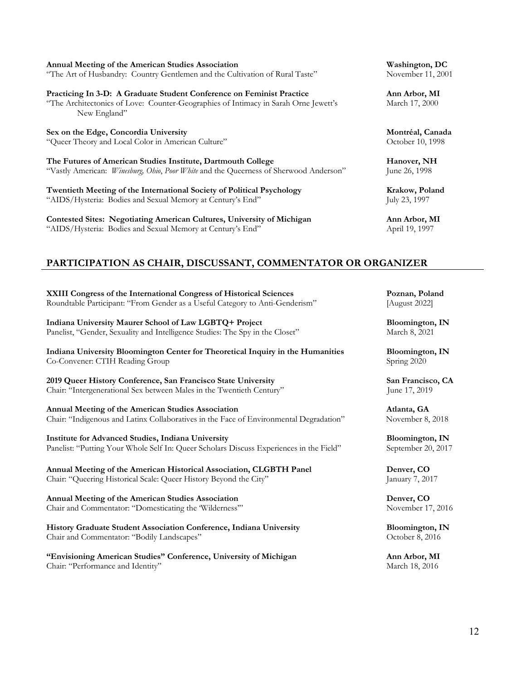| Annual Meeting of the American Studies Association<br>"The Art of Husbandry: Country Gentlemen and the Cultivation of Rural Taste"                                           |
|------------------------------------------------------------------------------------------------------------------------------------------------------------------------------|
| Practicing In 3-D: A Graduate Student Conference on Feminist Practice<br>"The Architectonics of Love: Counter-Geographies of Intimacy in Sarah Orne Jewett's<br>New England" |
| Sex on the Edge, Concordia University<br>"Queer Theory and Local Color in American Culture"                                                                                  |
| The Futures of American Studies Institute, Dartmouth College                                                                                                                 |

"Vastly American: *Winesburg, Ohio, Poor White* and the Queerness of Sherwood Anderson"

**Twentieth Meeting of the International Society of Political Psychology <b>Krakow, Poland** "AIDS/Hysteria: Bodies and Sexual Memory at Century's End" July 23, 1997

**Contested Sites: Negotiating American Cultures, University of Michigan Ann Arbor, MI** "AIDS/Hysteria: Bodies and Sexual Memory at Century's End" April 19, 1997

**Washington, DC** November 11, 2001

Ann Arbor, MI March 17, 2000

**Sex on the Edge, Concordia University Montréal, Canada** October 10, 1998

**Hanover, NH**<br>June 26, 1998

#### **PARTICIPATION AS CHAIR, DISCUSSANT, COMMENTATOR OR ORGANIZER**

**XXIII Congress of the International Congress of Historical Sciences Poznan, Poland** Roundtable Participant: "From Gender as a Useful Category to Anti-Genderism" [August 2022]

**Indiana University Maurer School of Law LGBTQ+ Project Bloomington, IN**<br>Panelist, "Gender, Sexuality and Intelligence Studies: The Spy in the Closet" March 8, 2021 Panelist, "Gender, Sexuality and Intelligence Studies: The Spy in the Closet"

**Indiana University Bloomington Center for Theoretical Inquiry in the Humanities Bloomington, IN** Co-Convener: CTIH Reading Group Spring 2020

**2019 Queer History Conference, San Francisco State University San Francisco, CA** Chair: "Intergenerational Sex between Males in the Twentieth Century" June 17, 2019

**Annual Meeting of the American Studies Association Atlanta, GA** Chair: "Indigenous and Latinx Collaboratives in the Face of Environmental Degradation" November 8, 2018

**Institute for Advanced Studies, Indiana University Bloomington, IN**<br>Panelist: "Putting Your Whole Self In: Queer Scholars Discuss Experiences in the Field" September 20, 2017 Panelist: "Putting Your Whole Self In: Queer Scholars Discuss Experiences in the Field"

**Annual Meeting of the American Historical Association, CLGBTH Panel Denver, CO** Chair: "Queering Historical Scale: Queer History Beyond the City" January 7, 2017

**Annual Meeting of the American Studies Association Denver, CO** Chair and Commentator: "Domesticating the 'Wilderness'" November 17, 2016

**History Graduate Student Association Conference, Indiana University Bloomington, IN Chair and Commentator: "Bodily Landscapes" Conference, Indiana University Corober 8, 2016** Chair and Commentator: "Bodily Landscapes"

**"Envisioning American Studies" Conference, University of Michigan Ann Arbor, MI** Chair: "Performance and Identity" March 18, 2016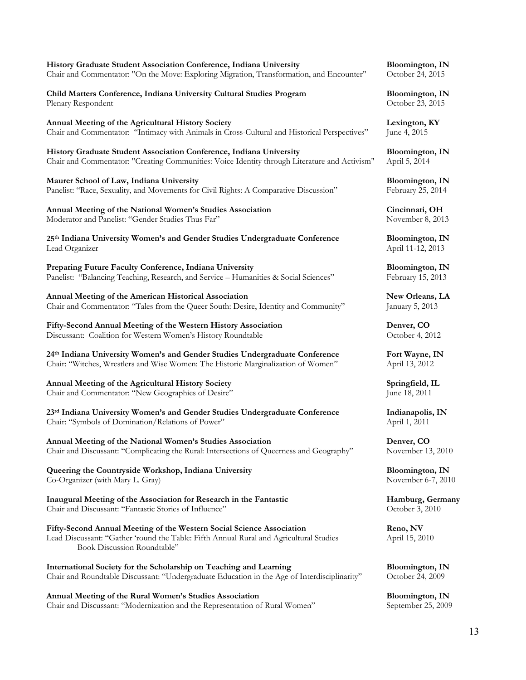| Chair and Commentator: "On the Move: Exploring Migration, Transformation, and Encounter"      | October 24, 2015         |
|-----------------------------------------------------------------------------------------------|--------------------------|
| Child Matters Conference, Indiana University Cultural Studies Program                         | Bloomington, IN          |
| Plenary Respondent                                                                            | October 23, 2015         |
| Annual Meeting of the Agricultural History Society                                            | Lexington, KY            |
| Chair and Commentator: "Intimacy with Animals in Cross-Cultural and Historical Perspectives"  | June 4, 2015             |
| History Graduate Student Association Conference, Indiana University                           | Bloomington, IN          |
| Chair and Commentator: "Creating Communities: Voice Identity through Literature and Activism" | April 5, 2014            |
| Maurer School of Law, Indiana University                                                      | <b>Bloomington</b> , IN  |
| Panelist: "Race, Sexuality, and Movements for Civil Rights: A Comparative Discussion"         | February 25, 2014        |
| Annual Meeting of the National Women's Studies Association                                    | Cincinnati, OH           |
| Moderator and Panelist: "Gender Studies Thus Far"                                             | November 8, 2013         |
| 25th Indiana University Women's and Gender Studies Undergraduate Conference                   | Bloomington, IN          |
| Lead Organizer                                                                                | April 11-12, 2013        |
| Preparing Future Faculty Conference, Indiana University                                       | Bloomington, IN          |
| Panelist: "Balancing Teaching, Research, and Service - Humanities & Social Sciences"          | February 15, 2013        |
| Annual Meeting of the American Historical Association                                         | New Orleans, LA          |
| Chair and Commentator: "Tales from the Queer South: Desire, Identity and Community"           | January 5, 2013          |
| Fifty-Second Annual Meeting of the Western History Association                                | Denver, CO               |
| Discussant: Coalition for Western Women's History Roundtable                                  | October 4, 2012          |
| 24th Indiana University Women's and Gender Studies Undergraduate Conference                   | Fort Wayne, IN           |
| Chair: "Witches, Wrestlers and Wise Women: The Historic Marginalization of Women"             | April 13, 2012           |
| Annual Meeting of the Agricultural History Society                                            | Springfield, IL          |
| Chair and Commentator: "New Geographies of Desire"                                            | June 18, 2011            |
| 23rd Indiana University Women's and Gender Studies Undergraduate Conference                   | Indianapolis, IN         |
| Chair: "Symbols of Domination/Relations of Power"                                             | April 1, 2011            |
| Annual Meeting of the National Women's Studies Association                                    | Denver, CO               |
| Chair and Discussant: "Complicating the Rural: Intersections of Queerness and Geography"      | November 13, 2010        |
| Queering the Countryside Workshop, Indiana University                                         | <b>Bloomington</b> , IN  |
| Co-Organizer (with Mary L. Gray)                                                              | November 6-7, 2010       |
| Inaugural Meeting of the Association for Research in the Fantastic                            | Hamburg, Germany         |
| Chair and Discussant: "Fantastic Stories of Influence"                                        | October 3, 2010          |
| Eifer Record Annual Mosting of the Western Regial Referees According                          | $D_{\alpha n \alpha}$ NW |

**Fifty-Second Annual Meeting of the Western Social Science Association Reno, NV**<br>Lead Discussant: "Gather 'round the Table: Fifth Annual Rural and Agricultural Studies April 15, 2010 Lead Discussant: "Gather 'round the Table: Fifth Annual Rural and Agricultural Studies Book Discussion Roundtable"

**International Society for the Scholarship on Teaching and Learning Bloomington, IN** Chair and Roundtable Discussant: "Undergraduate Education in the Age of Interdisciplinarity" October 24, 2009

**Annual Meeting of the Rural Women's Studies Association Bloomington, IN** Chair and Discussant: "Modernization and the Representation of Rural Women"

**History Graduate Student Association Conference, Indiana University Bloomington, IN**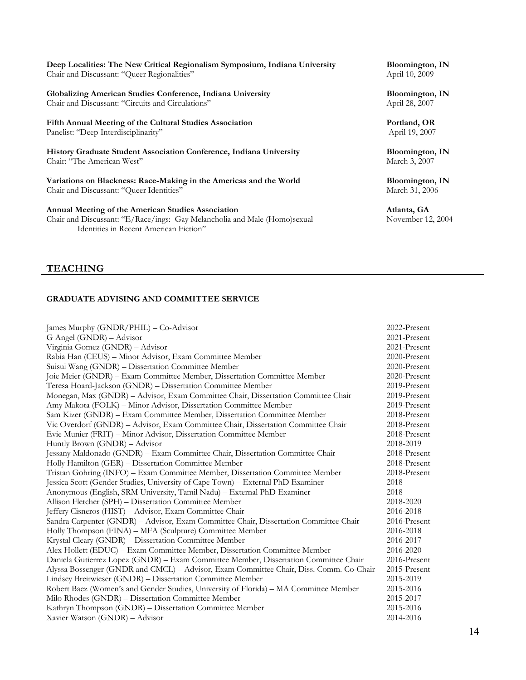| Deep Localities: The New Critical Regionalism Symposium, Indiana University | Bloomington, IN |  |
|-----------------------------------------------------------------------------|-----------------|--|
| Chair and Discussant: "Queer Regionalities"                                 | April 10, 2009  |  |

**Globalizing American Studies Conference, Indiana University Bloomington, IN**<br>Chair and Discussant: "Circuits and Circulations" April 28, 2007 Chair and Discussant: "Circuits and Circulations"

**Fifth Annual Meeting of the Cultural Studies Association Portland, OR** Panelist: "Deep Interdisciplinarity" April 19, 2007

**History Graduate Student Association Conference, Indiana University Bloomington, IN** Chair: "The American West" and the Chair: "The American West" March 3, 2007

**Variations on Blackness: Race-Making in the Americas and the World Bloomington, IN** Chair and Discussant: "Queer Identities" and Discussant: "Queer Identities" March 31, 2006

**Annual Meeting of the American Studies Association Atlanta, GA**

Chair and Discussant: "E/Race/ings: Gay Melancholia and Male (Homo)sexual November 12, 2004 Identities in Recent American Fiction"

#### **TEACHING**

#### **GRADUATE ADVISING AND COMMITTEE SERVICE**

James Murphy (GNDR/PHIL) – Co-Advisor 2022-Present G Angel (GNDR) – Advisor 2021-Present Virginia Gomez (GNDR) – Advisor 2021-Present Rabia Han (CEUS) – Minor Advisor, Exam Committee Member 2020-Present Suisui Wang (GNDR) – Dissertation Committee Member 2020-Present Joie Meier (GNDR) – Exam Committee Member, Dissertation Committee Member 2020-Present Teresa Hoard-Jackson (GNDR) – Dissertation Committee Member 2019-Present Monegan, Max (GNDR) – Advisor, Exam Committee Chair, Dissertation Committee Chair 2019-Present Amy Makota (FOLK) – Minor Advisor, Dissertation Committee Member 2019-Present Sam Kizer (GNDR) – Exam Committee Member, Dissertation Committee Member 2018-Present Vic Overdorf (GNDR) – Advisor, Exam Committee Chair, Dissertation Committee Chair 2018-Present Evie Munier (FRIT) – Minor Advisor, Dissertation Committee Member 2018-Present Huntly Brown (GNDR) – Advisor 2018-2019 Jessany Maldonado (GNDR) – Exam Committee Chair, Dissertation Committee Chair 2018-Present Holly Hamilton (GER) – Dissertation Committee Member 2018-Present Tristan Gohring (INFO) – Exam Committee Member, Dissertation Committee Member 2018-Present Jessica Scott (Gender Studies, University of Cape Town) – External PhD Examiner 2018 Anonymous (English, SRM University, Tamil Nadu) – External PhD Examiner 2018 Allison Fletcher (SPH) – Dissertation Committee Member 2018-2020 Jeffery Cisneros (HIST) – Advisor, Exam Committee Chair 2016-2018 Sandra Carpenter (GNDR) – Advisor, Exam Committee Chair, Dissertation Committee Chair 2016-Present Holly Thompson (FINA) – MFA (Sculpture) Committee Member 2016-2018 Krystal Cleary (GNDR) – Dissertation Committee Member 2016-2017 Alex Hollett (EDUC) – Exam Committee Member, Dissertation Committee Member 2016-2020 Daniela Gutierrez Lopez (GNDR) – Exam Committee Member, Dissertation Committee Chair 2016-Present Alyssa Bossenger (GNDR and CMCL) – Advisor, Exam Committee Chair, Diss. Comm. Co-Chair 2015-Present Lindsey Breitwieser (GNDR) – Dissertation Committee Member 2015-2019 Robert Baez (Women's and Gender Studies, University of Florida) – MA Committee Member 2015-2016 Milo Rhodes (GNDR) – Dissertation Committee Member 2015-2017 Kathryn Thompson (GNDR) – Dissertation Committee Member 2015-2016 Xavier Watson (GNDR) – Advisor 2014-2016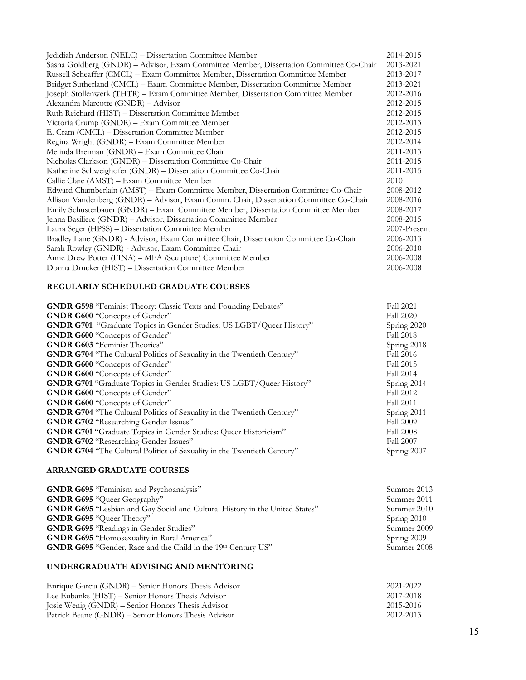| Jedidiah Anderson (NELC) - Dissertation Committee Member                                | 2014-2015    |
|-----------------------------------------------------------------------------------------|--------------|
| Sasha Goldberg (GNDR) - Advisor, Exam Committee Member, Dissertation Committee Co-Chair | 2013-2021    |
| Russell Scheaffer (CMCL) - Exam Committee Member, Dissertation Committee Member         | 2013-2017    |
| Bridget Sutherland (CMCL) - Exam Committee Member, Dissertation Committee Member        | 2013-2021    |
| Joseph Stollenwerk (THTR) - Exam Committee Member, Dissertation Committee Member        | 2012-2016    |
| Alexandra Marcotte (GNDR) - Advisor                                                     | 2012-2015    |
| Ruth Reichard (HIST) - Dissertation Committee Member                                    | 2012-2015    |
| Victoria Crump (GNDR) - Exam Committee Member                                           | 2012-2013    |
| E. Cram (CMCL) – Dissertation Committee Member                                          | 2012-2015    |
| Regina Wright (GNDR) - Exam Committee Member                                            | 2012-2014    |
| Melinda Brennan (GNDR) - Exam Committee Chair                                           | 2011-2013    |
| Nicholas Clarkson (GNDR) - Dissertation Committee Co-Chair                              | 2011-2015    |
| Katherine Schweighofer (GNDR) - Dissertation Committee Co-Chair                         | 2011-2015    |
| Callie Clare (AMST) - Exam Committee Member                                             | 2010         |
| Edward Chamberlain (AMST) - Exam Committee Member, Dissertation Committee Co-Chair      | 2008-2012    |
| Allison Vandenberg (GNDR) – Advisor, Exam Comm. Chair, Dissertation Committee Co-Chair  | 2008-2016    |
| Emily Schusterbauer (GNDR) - Exam Committee Member, Dissertation Committee Member       | 2008-2017    |
| Jenna Basiliere (GNDR) - Advisor, Dissertation Committee Member                         | 2008-2015    |
| Laura Seger (HPSS) - Dissertation Committee Member                                      | 2007-Present |
| Bradley Lane (GNDR) - Advisor, Exam Committee Chair, Dissertation Committee Co-Chair    | 2006-2013    |
| Sarah Rowley (GNDR) - Advisor, Exam Committee Chair                                     | 2006-2010    |
| Anne Drew Potter (FINA) – MFA (Sculpture) Committee Member                              | 2006-2008    |
| Donna Drucker (HIST) - Dissertation Committee Member                                    | 2006-2008    |
|                                                                                         |              |

#### **REGULARLY SCHEDULED GRADUATE COURSES**

| <b>GNDR G598</b> "Feminist Theory: Classic Texts and Founding Debates"         | Fall 2021        |
|--------------------------------------------------------------------------------|------------------|
| <b>GNDR G600</b> "Concepts of Gender"                                          | <b>Fall 2020</b> |
| <b>GNDR G701</b> "Graduate Topics in Gender Studies: US LGBT/Queer History"    | Spring 2020      |
| <b>GNDR G600</b> "Concepts of Gender"                                          | Fall 2018        |
| <b>GNDR G603 "Feminist Theories"</b>                                           | Spring 2018      |
| <b>GNDR G704</b> "The Cultural Politics of Sexuality in the Twentieth Century" | Fall 2016        |
| <b>GNDR G600</b> "Concepts of Gender"                                          | Fall 2015        |
| <b>GNDR G600</b> "Concepts of Gender"                                          | Fall 2014        |
| <b>GNDR G701</b> "Graduate Topics in Gender Studies: US LGBT/Queer History"    | Spring 2014      |
| <b>GNDR G600</b> "Concepts of Gender"                                          | Fall 2012        |
| <b>GNDR G600</b> "Concepts of Gender"                                          | Fall 2011        |
| <b>GNDR G704</b> "The Cultural Politics of Sexuality in the Twentieth Century" | Spring 2011      |
| <b>GNDR G702</b> "Researching Gender Issues"                                   | <b>Fall 2009</b> |
| <b>GNDR G701</b> "Graduate Topics in Gender Studies: Queer Historicism"        | <b>Fall 2008</b> |
| <b>GNDR G702</b> "Researching Gender Issues"                                   | Fall 2007        |
| <b>GNDR G704</b> "The Cultural Politics of Sexuality in the Twentieth Century" | Spring 2007      |
|                                                                                |                  |

#### **ARRANGED GRADUATE COURSES**

| <b>GNDR G695</b> "Feminism and Psychoanalysis"                                      | Summer 2013 |
|-------------------------------------------------------------------------------------|-------------|
| <b>GNDR G695 "Queer Geography"</b>                                                  | Summer 2011 |
| <b>GNDR G695</b> "Lesbian and Gay Social and Cultural History in the United States" | Summer 2010 |
| <b>GNDR G695 "Queer Theory"</b>                                                     | Spring 2010 |
| <b>GNDR G695 "Readings in Gender Studies"</b>                                       | Summer 2009 |
| <b>GNDR G695</b> "Homosexuality in Rural America"                                   | Spring 2009 |
| <b>GNDR G695</b> "Gender, Race and the Child in the 19th Century US"                | Summer 2008 |

#### **UNDERGRADUATE ADVISING AND MENTORING**

| Enrique Garcia (GNDR) – Senior Honors Thesis Advisor | 2021-2022 |
|------------------------------------------------------|-----------|
| Lee Eubanks (HIST) – Senior Honors Thesis Advisor    | 2017-2018 |
| Josie Wenig (GNDR) – Senior Honors Thesis Advisor    | 2015-2016 |
| Patrick Beane (GNDR) – Senior Honors Thesis Advisor  | 2012-2013 |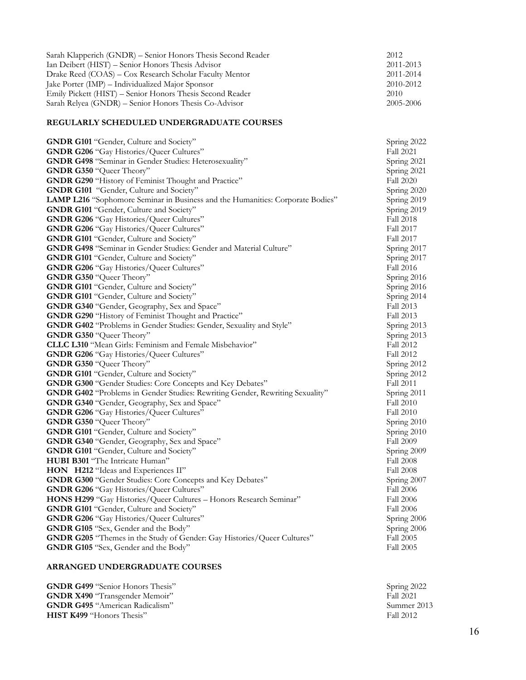| Sarah Klapperich (GNDR) – Senior Honors Thesis Second Reader | 2012      |
|--------------------------------------------------------------|-----------|
| Ian Deibert (HIST) – Senior Honors Thesis Advisor            | 2011-2013 |
| Drake Reed (COAS) – Cox Research Scholar Faculty Mentor      | 2011-2014 |
| Jake Porter (IMP) – Individualized Major Sponsor             | 2010-2012 |
| Emily Pickett (HIST) – Senior Honors Thesis Second Reader    | 2010      |
| Sarah Relyea (GNDR) – Senior Honors Thesis Co-Advisor        | 2005-2006 |

#### **REGULARLY SCHEDULED UNDERGRADUATE COURSES**

| GNDR G101 "Gender, Culture and Society"                                              | Spring 2022      |
|--------------------------------------------------------------------------------------|------------------|
| <b>GNDR G206</b> "Gay Histories/Queer Cultures"                                      | Fall 2021        |
| <b>GNDR G498</b> "Seminar in Gender Studies: Heterosexuality"                        | Spring 2021      |
| <b>GNDR G350 "Queer Theory"</b>                                                      | Spring 2021      |
| <b>GNDR G290</b> "History of Feminist Thought and Practice"                          | Fall 2020        |
| GNDR G101 "Gender, Culture and Society"                                              | Spring 2020      |
| LAMP L216 "Sophomore Seminar in Business and the Humanities: Corporate Bodies"       | Spring 2019      |
| <b>GNDR G101 "Gender, Culture and Society"</b>                                       | Spring 2019      |
| <b>GNDR G206 "Gay Histories/Queer Cultures"</b>                                      | Fall 2018        |
| <b>GNDR G206 "Gay Histories/Queer Cultures"</b>                                      | Fall 2017        |
| <b>GNDR G101 "Gender, Culture and Society"</b>                                       | Fall 2017        |
| GNDR G498 "Seminar in Gender Studies: Gender and Material Culture"                   | Spring 2017      |
| <b>GNDR G101 "Gender, Culture and Society"</b>                                       | Spring 2017      |
| <b>GNDR G206</b> "Gay Histories/Queer Cultures"                                      | Fall 2016        |
| <b>GNDR G350 "Queer Theory"</b>                                                      | Spring 2016      |
| <b>GNDR G101 "Gender, Culture and Society"</b>                                       | Spring 2016      |
| <b>GNDR G101 "Gender, Culture and Society"</b>                                       | Spring 2014      |
| <b>GNDR G340 "Gender, Geography, Sex and Space"</b>                                  | Fall 2013        |
| <b>GNDR G290</b> "History of Feminist Thought and Practice"                          | Fall 2013        |
| GNDR G402 "Problems in Gender Studies: Gender, Sexuality and Style"                  | Spring 2013      |
| <b>GNDR G350 "Queer Theory"</b>                                                      | Spring 2013      |
| CLLC L310 "Mean Girls: Feminism and Female Misbehavior"                              | Fall 2012        |
| <b>GNDR G206</b> "Gay Histories/Queer Cultures"                                      | Fall 2012        |
| <b>GNDR G350 "Queer Theory"</b>                                                      | Spring 2012      |
| GNDR G101 "Gender, Culture and Society"                                              | Spring 2012      |
| <b>GNDR G300 "Gender Studies: Core Concepts and Key Debates"</b>                     | Fall 2011        |
| <b>GNDR G402</b> "Problems in Gender Studies: Rewriting Gender, Rewriting Sexuality" | Spring 2011      |
| GNDR G340 "Gender, Geography, Sex and Space"                                         | Fall 2010        |
| <b>GNDR G206</b> "Gay Histories/Queer Cultures"                                      | Fall 2010        |
| GNDR G350 "Queer Theory"                                                             | Spring 2010      |
| <b>GNDR G101 "Gender, Culture and Society"</b>                                       | Spring 2010      |
| <b>GNDR G340 "Gender, Geography, Sex and Space"</b>                                  | Fall 2009        |
| <b>GNDR G101 "Gender, Culture and Society"</b>                                       | Spring 2009      |
| HUBI B301 "The Intricate Human"                                                      | <b>Fall 2008</b> |
| HON H212 "Ideas and Experiences II"                                                  | Fall 2008        |
| <b>GNDR G300</b> "Gender Studies: Core Concepts and Key Debates"                     | Spring 2007      |
| <b>GNDR G206 "Gay Histories/Queer Cultures"</b>                                      | <b>Fall 2006</b> |
| HONS H299 "Gay Histories/Queer Cultures - Honors Research Seminar"                   | <b>Fall 2006</b> |
| <b>GNDR G101 "Gender, Culture and Society"</b>                                       | <b>Fall 2006</b> |
| <b>GNDR G206</b> "Gay Histories/Queer Cultures"                                      | Spring 2006      |
| GNDR G105 "Sex, Gender and the Body"                                                 | Spring 2006      |
| <b>GNDR G205</b> "Themes in the Study of Gender: Gay Histories/Queer Cultures"       | Fall 2005        |
| <b>GNDR G105</b> "Sex, Gender and the Body"                                          | Fall 2005        |

### **ARRANGED UNDERGRADUATE COURSES**

| Spring 2022 |
|-------------|
| Fall 2021   |
| Summer 2013 |
| Fall 2012   |
|             |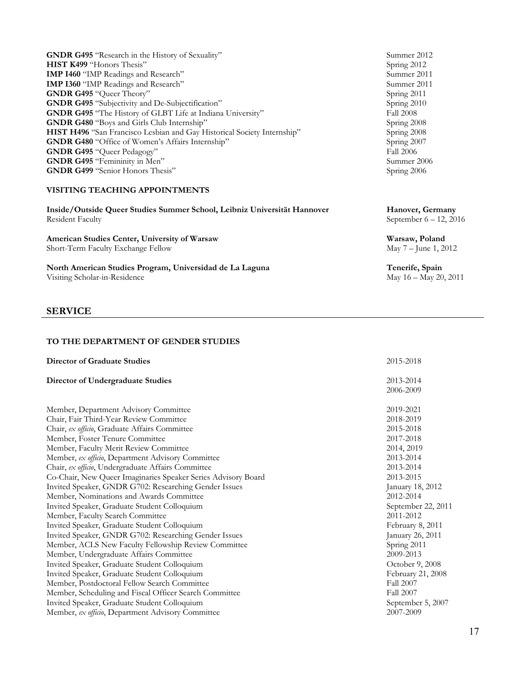| <b>GNDR G495</b> "Research in the History of Sexuality"                 | Summer 2012      |
|-------------------------------------------------------------------------|------------------|
| <b>HIST K499</b> "Honors Thesis"                                        | Spring 2012      |
| <b>IMP I460</b> "IMP Readings and Research"                             | Summer 2011      |
| <b>IMP I360</b> "IMP Readings and Research"                             | Summer 2011      |
| <b>GNDR G495 "Queer Theory"</b>                                         | Spring 2011      |
| <b>GNDR G495</b> "Subjectivity and De-Subjectification"                 | Spring 2010      |
| GNDR G495 "The History of GLBT Life at Indiana University"              | Fall 2008        |
| <b>GNDR G480</b> "Boys and Girls Club Internship"                       | Spring 2008      |
| HIST H496 "San Francisco Lesbian and Gay Historical Society Internship" | Spring 2008      |
| <b>GNDR G480</b> "Office of Women's Affairs Internship"                 | Spring 2007      |
| <b>GNDR G495 "Queer Pedagogy"</b>                                       | <b>Fall 2006</b> |
| GNDR G495 "Femininity in Men"                                           | Summer 2006      |
| <b>GNDR G499</b> "Senior Honors Thesis"                                 | Spring 2006      |
|                                                                         |                  |

#### **VISITING TEACHING APPOINTMENTS**

**Inside/Outside Queer Studies Summer School, Leibniz Universität Hannover Hanover, Germany**<br>Resident Faculty September 6 – 12, 20

**American Studies Center, University of Warsaw Warsaw, Poland Warsaw, Poland Short-Term Faculty Exchange Fellow May 7 – June 1, 2012** Short-Term Faculty Exchange Fellow

**North American Studies Program, Universidad de La Laguna Tenerife, Spain Tenerife, Spain Wisiting Scholar-in-Residence May 16** - May 20, 2011 Visiting Scholar-in-Residence

#### **SERVICE**

#### **TO THE DEPARTMENT OF GENDER STUDIES**

| <b>Director of Graduate Studies</b>                           | 2015-2018          |
|---------------------------------------------------------------|--------------------|
| <b>Director of Undergraduate Studies</b>                      | 2013-2014          |
|                                                               | 2006-2009          |
| Member, Department Advisory Committee                         | 2019-2021          |
| Chair, Fair Third-Year Review Committee                       | 2018-2019          |
| Chair, ex officio, Graduate Affairs Committee                 | 2015-2018          |
| Member, Foster Tenure Committee                               | 2017-2018          |
| Member, Faculty Merit Review Committee                        | 2014, 2019         |
| Member, ex officio, Department Advisory Committee             | 2013-2014          |
| Chair, ex officio, Undergraduate Affairs Committee            | 2013-2014          |
| Co-Chair, New Queer Imaginaries Speaker Series Advisory Board | 2013-2015          |
| Invited Speaker, GNDR G702: Researching Gender Issues         | January 18, 2012   |
| Member, Nominations and Awards Committee                      | 2012-2014          |
| Invited Speaker, Graduate Student Colloquium                  | September 22, 2011 |
| Member, Faculty Search Committee                              | 2011-2012          |
| Invited Speaker, Graduate Student Colloquium                  | February 8, 2011   |
| Invited Speaker, GNDR G702: Researching Gender Issues         | January 26, 2011   |
| Member, ACLS New Faculty Fellowship Review Committee          | Spring 2011        |
| Member, Undergraduate Affairs Committee                       | 2009-2013          |
| Invited Speaker, Graduate Student Colloquium                  | October 9, 2008    |
| Invited Speaker, Graduate Student Colloquium                  | February 21, 2008  |
| Member, Postdoctoral Fellow Search Committee                  | Fall 2007          |
| Member, Scheduling and Fiscal Officer Search Committee        | <b>Fall 2007</b>   |
| Invited Speaker, Graduate Student Colloquium                  | September 5, 2007  |
| Member, ex officio, Department Advisory Committee             | 2007-2009          |

Summer 2012 Spring 2012 **Summer 2011**<br>**Summer 2011** Spring 2011 **Spring 2010**<br>Fall 2008 Spring 2008  $\overline{\text{Spring 2008}}$ Spring 2007<br>Fall 2006 Summer 2006 Spring 2006

September  $6 - 12$ , 2016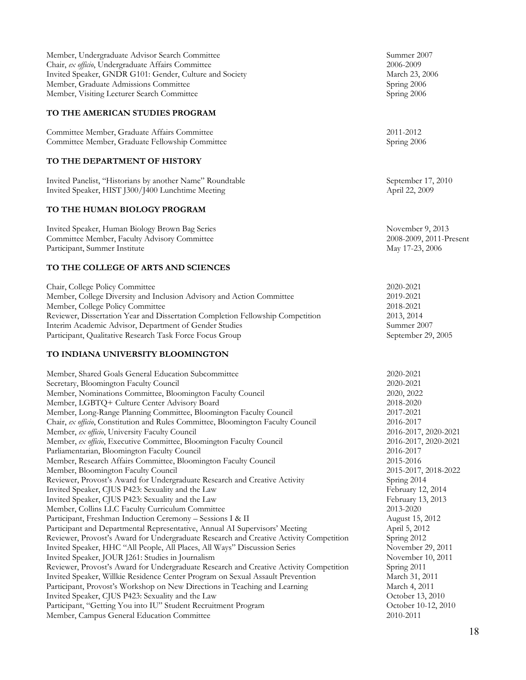| Member, Undergraduate Advisor Search Committee          | Summer 2007   |
|---------------------------------------------------------|---------------|
| Chair, ex officio, Undergraduate Affairs Committee      | 2006-2009     |
| Invited Speaker, GNDR G101: Gender, Culture and Society | March 23, 200 |
| Member, Graduate Admissions Committee                   | Spring 2006   |
| Member, Visiting Lecturer Search Committee              | Spring 2006   |

#### **TO THE AMERICAN STUDIES PROGRAM**

Committee Member, Graduate Affairs Committee 2011-2012 Committee Member, Graduate Fellowship Committee Spring 2006

#### **TO THE DEPARTMENT OF HISTORY**

Invited Panelist, "Historians by another Name" Roundtable September 17, 2010 Invited Speaker, HIST J300/J400 Lunchtime Meeting April 22, 2009

#### **TO THE HUMAN BIOLOGY PROGRAM**

Invited Speaker, Human Biology Brown Bag Series November 9, 2013 Committee Member, Faculty Advisory Committee 2008-2009, 2011-Present Participant, Summer Institute May 17-23, 2006

#### **TO THE COLLEGE OF ARTS AND SCIENCES**

Chair, College Policy Committee Member, College Diversity and Inclusion Advisory and Action Committee Member, College Policy Committee Reviewer, Dissertation Year and Dissertation Completion Fellowship Competition Interim Academic Advisor, Department of Gender Studies Participant, Qualitative Research Task Force Focus Group

#### **TO INDIANA UNIVERSITY BLOOMINGTON**

| Member, Shared Goals General Education Subcommittee                                    | 2020-2021            |
|----------------------------------------------------------------------------------------|----------------------|
| Secretary, Bloomington Faculty Council                                                 | 2020-2021            |
| Member, Nominations Committee, Bloomington Faculty Council                             | 2020, 2022           |
| Member, LGBTQ+ Culture Center Advisory Board                                           | 2018-2020            |
| Member, Long-Range Planning Committee, Bloomington Faculty Council                     | 2017-2021            |
| Chair, ex officio, Constitution and Rules Committee, Bloomington Faculty Council       | 2016-2017            |
| Member, ex officio, University Faculty Council                                         | 2016-2017, 2020-2021 |
| Member, ex officio, Executive Committee, Bloomington Faculty Council                   | 2016-2017, 2020-2021 |
| Parliamentarian, Bloomington Faculty Council                                           | 2016-2017            |
| Member, Research Affairs Committee, Bloomington Faculty Council                        | 2015-2016            |
| Member, Bloomington Faculty Council                                                    | 2015-2017, 2018-2022 |
| Reviewer, Provost's Award for Undergraduate Research and Creative Activity             | Spring 2014          |
| Invited Speaker, CJUS P423: Sexuality and the Law                                      | February 12, 2014    |
| Invited Speaker, CJUS P423: Sexuality and the Law                                      | February 13, 2013    |
| Member, Collins LLC Faculty Curriculum Committee                                       | 2013-2020            |
| Participant, Freshman Induction Ceremony - Sessions I & II                             | August 15, 2012      |
| Participant and Departmental Representative, Annual AI Supervisors' Meeting            | April 5, 2012        |
| Reviewer, Provost's Award for Undergraduate Research and Creative Activity Competition | Spring 2012          |
| Invited Speaker, HHC "All People, All Places, All Ways" Discussion Series              | November 29, 2011    |
| Invited Speaker, JOUR J261: Studies in Journalism                                      | November 10, 2011    |
| Reviewer, Provost's Award for Undergraduate Research and Creative Activity Competition | Spring 2011          |
| Invited Speaker, Willkie Residence Center Program on Sexual Assault Prevention         | March 31, 2011       |
| Participant, Provost's Workshop on New Directions in Teaching and Learning             | March 4, 2011        |
| Invited Speaker, CJUS P423: Sexuality and the Law                                      | October 13, 2010     |
| Participant, "Getting You into IU" Student Recruitment Program                         | October 10-12, 2010  |
| Member, Campus General Education Committee                                             | 2010-2011            |
|                                                                                        |                      |

March 23, 2006

| 2020-2021          |
|--------------------|
| 2019-2021          |
| 2018-2021          |
| 2013, 2014         |
| Summer 2007        |
| September 29, 2005 |
|                    |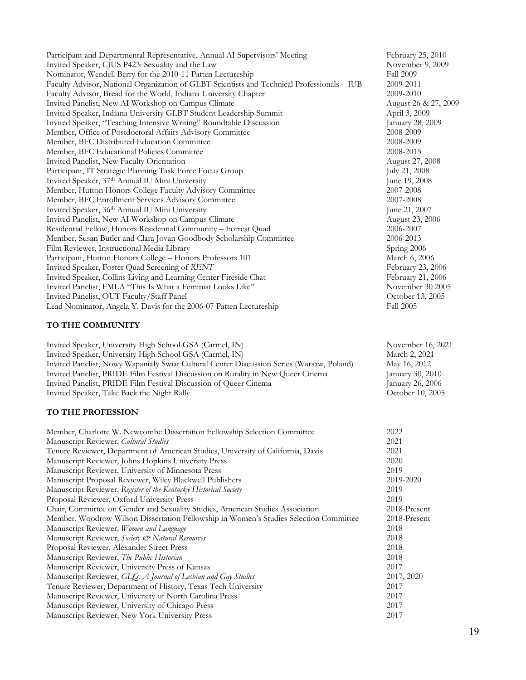Participant and Departmental Representative, Annual AI Supervisors' Meeting February 25, 2010 Invited Speaker, CJUS P423: Sexuality and the Law November 9, 2009 Nominator, Wendell Berry for the 2010-11 Patten Lectureship Fall 2009 Faculty Advisor, National Organization of GLBT Scientists and Technical Professionals – IUB 2009-2011 Faculty Advisor, Bread for the World, Indiana University Chapter 2009-2010 Invited Panelist, New AI Workshop on Campus Climate August 26 & 27, 2009 Invited Speaker, Indiana University GLBT Student Leadership Summit April 3, 2009 Invited Speaker, "Teaching Intensive Writing" Roundtable Discussion January 28, 2009 Member, Office of Postdoctoral Affairs Advisory Committee Member, BFC Distributed Education Committee 2008-2009 Member, BFC Educational Policies Committee 2008-2015 Invited Panelist, New Faculty Orientation **August 27, 2008** August 27, 2008 Participant, IT Strategic Planning Task Force Focus Group July 21, 2008 Invited Speaker, 37<sup>th</sup> Annual IU Mini University June 19, 2008 Member, Hutton Honors College Faculty Advisory Committee 2007-2008 Member, BFC Enrollment Services Advisory Committee 2007-2008 Invited Speaker, 36<sup>th</sup> Annual IU Mini University June 21, 2007 Invited Panelist, New AI Workshop on Campus Climate August 23, 2006 Residential Fellow, Honors Residential Community – Forrest Quad 2006-2007 Member, Susan Butler and Clara Jovan Goodbody Scholarship Committee 2006-2013 Film Reviewer, Instructional Media Library Spring 2006 Participant, Hutton Honors College – Honors Professors 101 March 6, 2006 Invited Speaker, Foster Quad Screening of *RENT* February 23, 2006 Invited Speaker, Collins Living and Learning Center Fireside Chat February 21, 2006 Invited Panelist, FMLA "This Is What a Feminist Looks Like" November 30 2005 Invited Panelist, OUT Faculty/Staff Panel October 13, 2005 Lead Nominator, Angela Y. Davis for the 2006-07 Patten Lectureship Fall 2005

#### **TO THE COMMUNITY**

Invited Speaker, University High School GSA (Carmel, IN) November 16, 2021 Invited Speaker, University High School GSA (Carmel, IN) March 2, 2021 Invited Panelist, Nowy Wspaniały Świat Cultural Center Discussion Series (Warsaw, Poland) May 16, 2012 Invited Panelist, PRIDE Film Festival Discussion on Rurality in New Queer Cinema January 30, 2010 Invited Panelist, PRIDE Film Festival Discussion of Queer Cinema January 26, 2006 Invited Speaker, Take Back the Night Rally October 10, 2005

#### **TO THE PROFESSION**

| Member, Charlotte W. Newcombe Dissertation Fellowship Selection Committee             | 2022         |
|---------------------------------------------------------------------------------------|--------------|
| Manuscript Reviewer, Cultural Studies                                                 | 2021         |
| Tenure Reviewer, Department of American Studies, University of California, Davis      | 2021         |
| Manuscript Reviewer, Johns Hopkins University Press                                   | 2020         |
| Manuscript Reviewer, University of Minnesota Press                                    | 2019         |
| Manuscript Proposal Reviewer, Wiley Blackwell Publishers                              | 2019-2020    |
| Manuscript Reviewer, Register of the Kentucky Historical Society                      | 2019         |
| Proposal Reviewer, Oxford University Press                                            | 2019         |
| Chair, Committee on Gender and Sexuality Studies, American Studies Association        | 2018-Present |
| Member, Woodrow Wilson Dissertation Fellowship in Women's Studies Selection Committee | 2018-Present |
| Manuscript Reviewer, Women and Language                                               | 2018         |
| Manuscript Reviewer, Society & Natural Resources                                      | 2018         |
| Proposal Reviewer, Alexander Street Press                                             | 2018         |
| Manuscript Reviewer, The Public Historian                                             | 2018         |
| Manuscript Reviewer, University Press of Kansas                                       | 2017         |
| Manuscript Reviewer, GLO: A Journal of Lesbian and Gay Studies                        | 2017, 2020   |
| Tenure Reviewer, Department of History, Texas Tech University                         | 2017         |
| Manuscript Reviewer, University of North Carolina Press                               | 2017         |
| Manuscript Reviewer, University of Chicago Press                                      | 2017         |
| Manuscript Reviewer, New York University Press                                        | 2017         |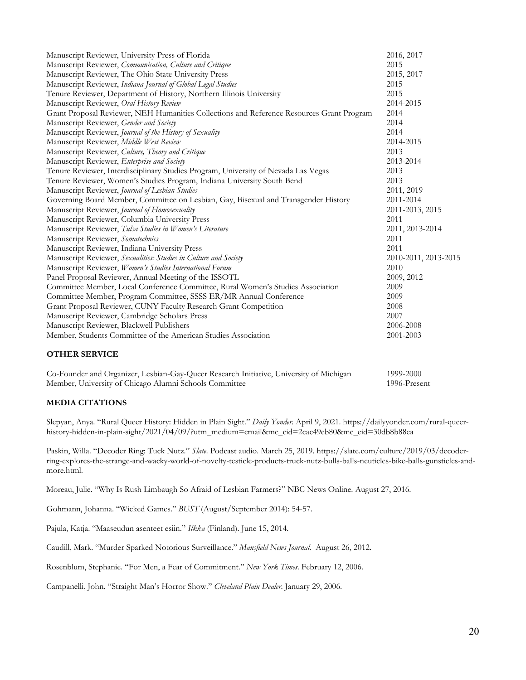| Manuscript Reviewer, Communication, Culture and Critique<br>Manuscript Reviewer, The Ohio State University Press<br>Manuscript Reviewer, Indiana Journal of Global Legal Studies<br>Tenure Reviewer, Department of History, Northern Illinois University<br>Manuscript Reviewer, Oral History Review<br>Grant Proposal Reviewer, NEH Humanities Collections and Reference Resources Grant Program<br>Manuscript Reviewer, Gender and Society | 2015<br>2015, 2017<br>2015<br>2015<br>2014-2015<br>2014<br>2014<br>2014 |
|----------------------------------------------------------------------------------------------------------------------------------------------------------------------------------------------------------------------------------------------------------------------------------------------------------------------------------------------------------------------------------------------------------------------------------------------|-------------------------------------------------------------------------|
|                                                                                                                                                                                                                                                                                                                                                                                                                                              |                                                                         |
|                                                                                                                                                                                                                                                                                                                                                                                                                                              |                                                                         |
|                                                                                                                                                                                                                                                                                                                                                                                                                                              |                                                                         |
|                                                                                                                                                                                                                                                                                                                                                                                                                                              |                                                                         |
|                                                                                                                                                                                                                                                                                                                                                                                                                                              |                                                                         |
|                                                                                                                                                                                                                                                                                                                                                                                                                                              |                                                                         |
|                                                                                                                                                                                                                                                                                                                                                                                                                                              |                                                                         |
| Manuscript Reviewer, Journal of the History of Sexuality                                                                                                                                                                                                                                                                                                                                                                                     |                                                                         |
| Manuscript Reviewer, Middle West Review                                                                                                                                                                                                                                                                                                                                                                                                      | 2014-2015                                                               |
| Manuscript Reviewer, Culture, Theory and Critique                                                                                                                                                                                                                                                                                                                                                                                            | 2013                                                                    |
| Manuscript Reviewer, Enterprise and Society                                                                                                                                                                                                                                                                                                                                                                                                  | 2013-2014                                                               |
| Tenure Reviewer, Interdisciplinary Studies Program, University of Nevada Las Vegas                                                                                                                                                                                                                                                                                                                                                           | 2013                                                                    |
| Tenure Reviewer, Women's Studies Program, Indiana University South Bend                                                                                                                                                                                                                                                                                                                                                                      | 2013                                                                    |
| Manuscript Reviewer, Journal of Lesbian Studies                                                                                                                                                                                                                                                                                                                                                                                              | 2011, 2019                                                              |
| Governing Board Member, Committee on Lesbian, Gay, Bisexual and Transgender History                                                                                                                                                                                                                                                                                                                                                          | 2011-2014                                                               |
| Manuscript Reviewer, Journal of Homosexuality                                                                                                                                                                                                                                                                                                                                                                                                | 2011-2013, 2015                                                         |
| Manuscript Reviewer, Columbia University Press                                                                                                                                                                                                                                                                                                                                                                                               | 2011                                                                    |
| Manuscript Reviewer, Tulsa Studies in Women's Literature                                                                                                                                                                                                                                                                                                                                                                                     | 2011, 2013-2014                                                         |
| Manuscript Reviewer, Somatechnics                                                                                                                                                                                                                                                                                                                                                                                                            | 2011                                                                    |
| Manuscript Reviewer, Indiana University Press                                                                                                                                                                                                                                                                                                                                                                                                | 2011                                                                    |
| Manuscript Reviewer, Sexualities: Studies in Culture and Society                                                                                                                                                                                                                                                                                                                                                                             | 2010-2011, 2013-2015                                                    |
| Manuscript Reviewer, Women's Studies International Forum                                                                                                                                                                                                                                                                                                                                                                                     | 2010                                                                    |
| Panel Proposal Reviewer, Annual Meeting of the ISSOTL                                                                                                                                                                                                                                                                                                                                                                                        | 2009, 2012                                                              |
| Committee Member, Local Conference Committee, Rural Women's Studies Association                                                                                                                                                                                                                                                                                                                                                              | 2009                                                                    |
| Committee Member, Program Committee, SSSS ER/MR Annual Conference                                                                                                                                                                                                                                                                                                                                                                            | 2009                                                                    |
| Grant Proposal Reviewer, CUNY Faculty Research Grant Competition                                                                                                                                                                                                                                                                                                                                                                             | 2008                                                                    |
| Manuscript Reviewer, Cambridge Scholars Press                                                                                                                                                                                                                                                                                                                                                                                                | 2007                                                                    |
| Manuscript Reviewer, Blackwell Publishers                                                                                                                                                                                                                                                                                                                                                                                                    | 2006-2008                                                               |
| Member, Students Committee of the American Studies Association                                                                                                                                                                                                                                                                                                                                                                               | 2001-2003                                                               |
| <b>OTHER SERVICE</b>                                                                                                                                                                                                                                                                                                                                                                                                                         |                                                                         |

#### Co-Founder and Organizer, Lesbian-Gay-Queer Research Initiative, University of Michigan 1999-2000 Member, University of Chicago Alumni Schools Committee 1996-Present

#### **MEDIA CITATIONS**

Slepyan, Anya. "Rural Queer History: Hidden in Plain Sight." *Daily Yonder*. April 9, 2021. https://dailyyonder.com/rural-queerhistory-hidden-in-plain-sight/2021/04/09/?utm\_medium=email&mc\_cid=2cac49eb80&mc\_eid=30db8b88ea

Paskin, Willa. "Decoder Ring: Tuck Nutz." *Slate*. Podcast audio. March 25, 2019. https://slate.com/culture/2019/03/decoderring-explores-the-strange-and-wacky-world-of-novelty-testicle-products-truck-nutz-bulls-balls-neuticles-bike-balls-gunsticles-andmore.html.

Moreau, Julie. "Why Is Rush Limbaugh So Afraid of Lesbian Farmers?" NBC News Online. August 27, 2016.

Gohmann, Johanna. "Wicked Games." *BUST* (August/September 2014): 54-57.

Pajula, Katja. "Maaseudun asenteet esiin." *Ilkka* (Finland). June 15, 2014.

Caudill, Mark. "Murder Sparked Notorious Surveillance." *Mansfield News Journal*. August 26, 2012.

Rosenblum, Stephanie. "For Men, a Fear of Commitment." *New York Times*. February 12, 2006.

Campanelli, John. "Straight Man's Horror Show." *Cleveland Plain Dealer*. January 29, 2006.